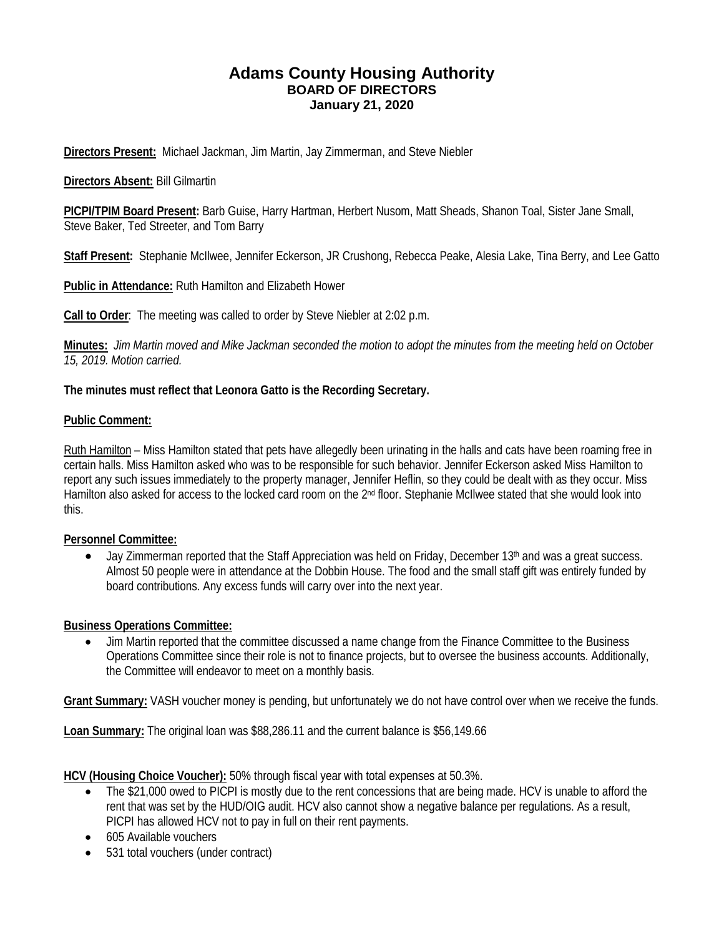# **Adams County Housing Authority BOARD OF DIRECTORS January 21, 2020**

**Directors Present:** Michael Jackman, Jim Martin, Jay Zimmerman, and Steve Niebler

### **Directors Absent:** Bill Gilmartin

**PICPI/TPIM Board Present:** Barb Guise, Harry Hartman, Herbert Nusom, Matt Sheads, Shanon Toal, Sister Jane Small, Steve Baker, Ted Streeter, and Tom Barry

**Staff Present:** Stephanie McIlwee, Jennifer Eckerson, JR Crushong, Rebecca Peake, Alesia Lake, Tina Berry, and Lee Gatto

**Public in Attendance:** Ruth Hamilton and Elizabeth Hower

**Call to Order**: The meeting was called to order by Steve Niebler at 2:02 p.m.

**Minutes:** *Jim Martin moved and Mike Jackman seconded the motion to adopt the minutes from the meeting held on October 15, 2019. Motion carried.*

### **The minutes must reflect that Leonora Gatto is the Recording Secretary.**

#### **Public Comment:**

Ruth Hamilton – Miss Hamilton stated that pets have allegedly been urinating in the halls and cats have been roaming free in certain halls. Miss Hamilton asked who was to be responsible for such behavior. Jennifer Eckerson asked Miss Hamilton to report any such issues immediately to the property manager, Jennifer Heflin, so they could be dealt with as they occur. Miss Hamilton also asked for access to the locked card room on the 2<sup>nd</sup> floor. Stephanie McIlwee stated that she would look into this.

#### **Personnel Committee:**

• Jay Zimmerman reported that the Staff Appreciation was held on Friday, December 13<sup>th</sup> and was a great success. Almost 50 people were in attendance at the Dobbin House. The food and the small staff gift was entirely funded by board contributions. Any excess funds will carry over into the next year.

#### **Business Operations Committee:**

• Jim Martin reported that the committee discussed a name change from the Finance Committee to the Business Operations Committee since their role is not to finance projects, but to oversee the business accounts. Additionally, the Committee will endeavor to meet on a monthly basis.

**Grant Summary:** VASH voucher money is pending, but unfortunately we do not have control over when we receive the funds.

**Loan Summary:** The original loan was \$88,286.11 and the current balance is \$56,149.66

**HCV (Housing Choice Voucher):** 50% through fiscal year with total expenses at 50.3%.

- The \$21,000 owed to PICPI is mostly due to the rent concessions that are being made. HCV is unable to afford the rent that was set by the HUD/OIG audit. HCV also cannot show a negative balance per regulations. As a result, PICPI has allowed HCV not to pay in full on their rent payments.
- 605 Available vouchers
- 531 total vouchers (under contract)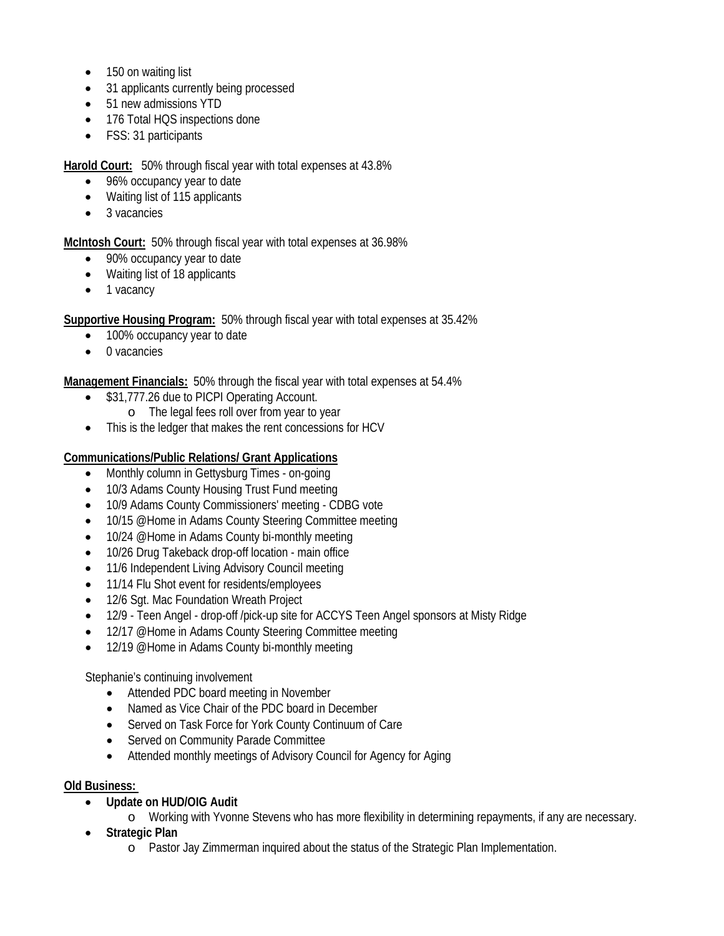- 150 on waiting list
- 31 applicants currently being processed
- 51 new admissions YTD
- 176 Total HQS inspections done
- FSS: 31 participants

**Harold Court:** 50% through fiscal year with total expenses at 43.8%

- 96% occupancy year to date
- Waiting list of 115 applicants
- 3 vacancies

**McIntosh Court:** 50% through fiscal year with total expenses at 36.98%

- 90% occupancy year to date
- Waiting list of 18 applicants
- 1 vacancy

**Supportive Housing Program:** 50% through fiscal year with total expenses at 35.42%

- 100% occupancy year to date
- 0 vacancies

**Management Financials:** 50% through the fiscal year with total expenses at 54.4%

- \$31,777.26 due to PICPI Operating Account.
	- o The legal fees roll over from year to year
- This is the ledger that makes the rent concessions for HCV

## **Communications/Public Relations/ Grant Applications**

- Monthly column in Gettysburg Times on-going
- 10/3 Adams County Housing Trust Fund meeting
- 10/9 Adams County Commissioners' meeting CDBG vote
- 10/15 @Home in Adams County Steering Committee meeting
- 10/24 @Home in Adams County bi-monthly meeting
- 10/26 Drug Takeback drop-off location main office
- 11/6 Independent Living Advisory Council meeting
- 11/14 Flu Shot event for residents/employees
- 12/6 Sqt. Mac Foundation Wreath Project
- 12/9 Teen Angel drop-off /pick-up site for ACCYS Teen Angel sponsors at Misty Ridge
- 12/17 @Home in Adams County Steering Committee meeting
- 12/19 @Home in Adams County bi-monthly meeting

Stephanie's continuing involvement

- Attended PDC board meeting in November
- Named as Vice Chair of the PDC board in December
- Served on Task Force for York County Continuum of Care
- Served on Community Parade Committee
- Attended monthly meetings of Advisory Council for Agency for Aging

## **Old Business:**

• **Update on HUD/OIG Audit**

o Working with Yvonne Stevens who has more flexibility in determining repayments, if any are necessary.

- **Strategic Plan**
	- o Pastor Jay Zimmerman inquired about the status of the Strategic Plan Implementation.